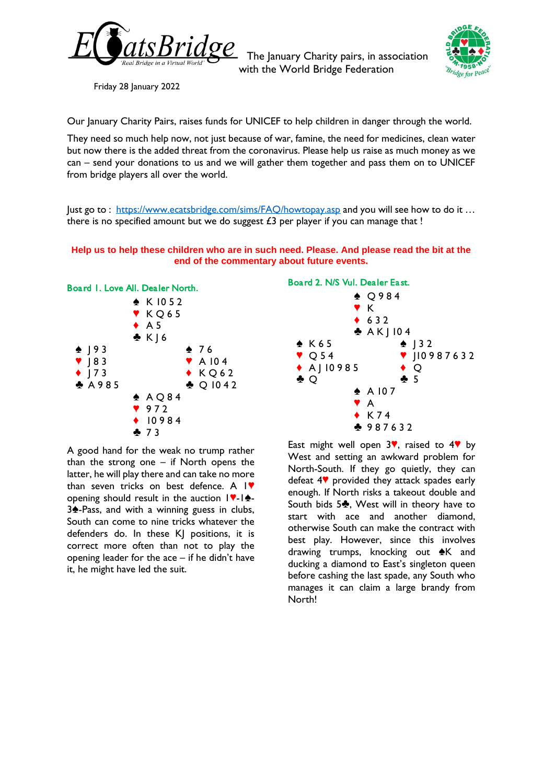

The January Charity pairs, in association with the World Bridge Federation



Friday 28 January 2022

Our January Charity Pairs, raises funds for [UNICEF](https://www.unicef.org.uk/) to help children in danger through the world.

They need so much help now, not just because of war, famine, the need for medicines, clean water but now there is the added threat from the coronavirus. Please help us raise as much money as we can – send your donations to us and we will gather them together and pass them on to UNICEF from bridge players all over the world.

Just go to : <https://www.ecatsbridge.com/sims/FAQ/howtopay.asp> and you will see how to do it ... there is no specified amount but we do suggest  $£3$  per player if you can manage that !

# **Help us to help these children who are in such need. Please. And please read the bit at the end of the commentary about future events.**



A good hand for the weak no trump rather than the strong one  $-$  if North opens the latter, he will play there and can take no more than seven tricks on best defence. A  $\blacktriangleright$ opening should result in the auction  $\|\nabla\cdot\|_2$ -3<sup> $\triangle$ </sup>-Pass, and with a winning guess in clubs, South can come to nine tricks whatever the defenders do. In these KJ positions, it is correct more often than not to play the opening leader for the ace  $-$  if he didn't have it, he might have led the suit.



East might well open  $3$ , raised to  $4$ , by West and setting an awkward problem for North-South. If they go quietly, they can defeat 4<sup>•</sup> provided they attack spades early enough. If North risks a takeout double and South bids  $5\clubsuit$ , West will in theory have to start with ace and another diamond, otherwise South can make the contract with best play. However, since this involves drawing trumps, knocking out  $\triangle K$  and ducking a diamond to East's singleton queen before cashing the last spade, any South who manages it can claim a large brandy from North!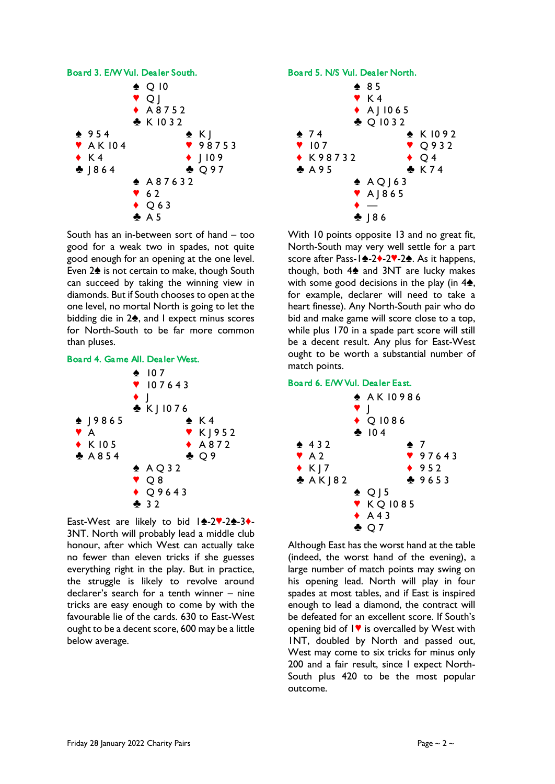

South has an in-between sort of hand – too good for a weak two in spades, not quite good enough for an opening at the one level. Even 2<sup> $\triangle$ </sup> is not certain to make, though South can succeed by taking the winning view in diamonds. But if South chooses to open at the one level, no mortal North is going to let the bidding die in  $2\spadesuit$ , and I expect minus scores for North-South to be far more common than pluses.





East-West are likely to bid  $|A-2|$ -2 $A-3$ 3NT. North will probably lead a middle club honour, after which West can actually take no fewer than eleven tricks if she guesses everything right in the play. But in practice, the struggle is likely to revolve around declarer's search for a tenth winner – nine tricks are easy enough to come by with the favourable lie of the cards. 630 to East-West ought to be a decent score, 600 may be a little below average.



With 10 points opposite 13 and no great fit, North-South may very well settle for a part score after Pass-14-24-27-24. As it happens, though, both  $4\spadesuit$  and 3NT are lucky makes with some good decisions in the play (in  $4\spadesuit$ , for example, declarer will need to take a heart finesse). Any North-South pair who do bid and make game will score close to a top, while plus 170 in a spade part score will still be a decent result. Any plus for East-West ought to be worth a substantial number of match points.

# Board 6. E/W Vul. Dealer East.



Although East has the worst hand at the table (indeed, the worst hand of the evening), a large number of match points may swing on his opening lead. North will play in four spades at most tables, and if East is inspired enough to lead a diamond, the contract will be defeated for an excellent score. If South's opening bid of  $1$ . is overcalled by West with 1NT, doubled by North and passed out, West may come to six tricks for minus only 200 and a fair result, since I expect North-South plus 420 to be the most popular outcome.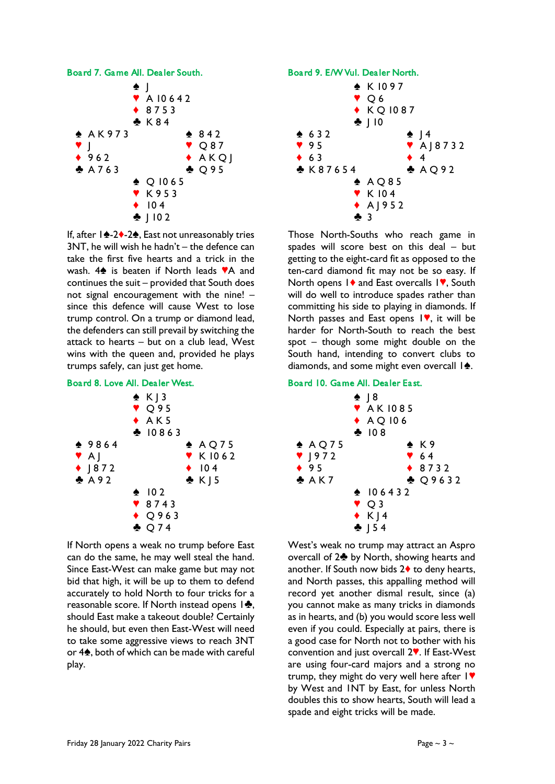

If, after  $1\rightarrow 2\rightarrow 2\rightarrow$ , East not unreasonably tries  $3NT$ , he will wish he hadn't – the defence can take the first five hearts and a trick in the wash.  $4\spadesuit$  is beaten if North leads  $\blacktriangledown A$  and continues the suit – provided that South does not signal encouragement with the nine! – since this defence will cause West to lose trump control. On a trump or diamond lead, the defenders can still prevail by switching the attack to hearts – but on a club lead, West wins with the queen and, provided he plays trumps safely, can just get home.

# Board 8. Love All. Dealer West.



If North opens a weak no trump before East can do the same, he may well steal the hand. Since East-West can make game but may not bid that high, it will be up to them to defend accurately to hold North to four tricks for a reasonable score. If North instead opens  $1\clubsuit$ , should East make a takeout double? Certainly he should, but even then East-West will need to take some aggressive views to reach 3NT or  $4\spadesuit$ , both of which can be made with careful play.



Those North-Souths who reach game in spades will score best on this deal – but getting to the eight-card fit as opposed to the ten-card diamond fit may not be so easy. If North opens 1<sup> $\bullet$ </sup> and East overcalls 1 $\blacktriangledown$ , South will do well to introduce spades rather than committing his side to playing in diamonds. If North passes and East opens  $\mathsf{I}\blacktriangledown$ , it will be harder for North-South to reach the best spot – though some might double on the South hand, intending to convert clubs to diamonds, and some might even overcall  $\mathbf{A}$ .

## Board 10. Game All. Dealer East.



West's weak no trump may attract an Aspro overcall of 2<sup> $\bullet$ </sup> by North, showing hearts and another. If South now bids  $2\blacklozenge$  to deny hearts, and North passes, this appalling method will record yet another dismal result, since (a) you cannot make as many tricks in diamonds as in hearts, and (b) you would score less well even if you could. Especially at pairs, there is a good case for North not to bother with his convention and just overcall 2<sup>.</sup> If East-West are using four-card majors and a strong no trump, they might do very well here after  $1$ . by West and 1NT by East, for unless North doubles this to show hearts, South will lead a spade and eight tricks will be made.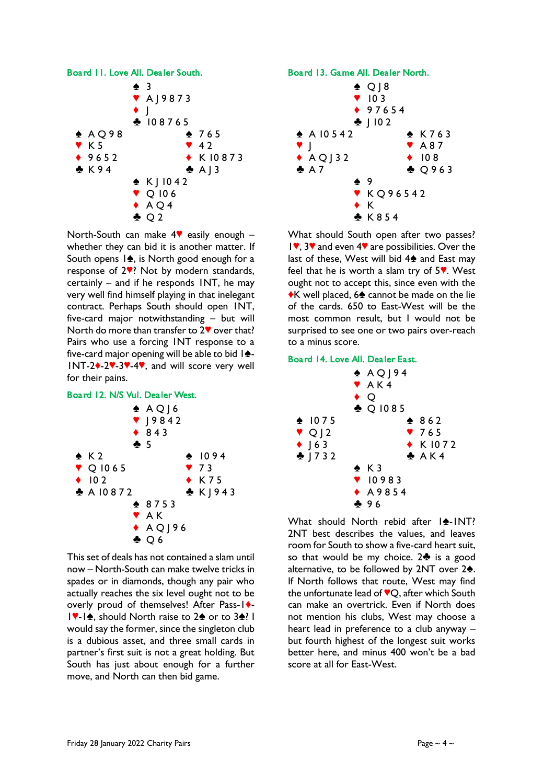

North-South can make  $4\%$  easily enough – whether they can bid it is another matter. If South opens  $1\spadesuit$ , is North good enough for a response of  $2$ <sup>9</sup>? Not by modern standards, certainly – and if he responds 1NT, he may very well find himself playing in that inelegant contract. Perhaps South should open 1NT, five-card major notwithstanding – but will North do more than transfer to  $2\blacktriangledown$  over that? Pairs who use a forcing 1NT response to a five-card major opening will be able to bid  $\mathbf{A}$ -INT-2<sup>+</sup>-2<sup>\*</sup>-3<sup>\*</sup>-4<sup>\*</sup>, and will score very well for their pains.

#### Board 12. N/S Vul. Dealer West.



This set of deals has not contained a slam until now – North-South can make twelve tricks in spades or in diamonds, though any pair who actually reaches the six level ought not to be overly proud of themselves! After Pass-1+-17-14, should North raise to 24 or to 34? I would say the former, since the singleton club is a dubious asset, and three small cards in partner's first suit is not a great holding. But South has just about enough for a further move, and North can then bid game.

## Board 13. Game All. Dealer North.



What should South open after two passes?  $1$ , 3 $\blacktriangledown$  and even 4 $\blacktriangledown$  are possibilities. Over the last of these, West will bid  $4\spadesuit$  and East may feel that he is worth a slam try of  $5$ . West ought not to accept this, since even with the  $\star$ K well placed, 6 $\star$  cannot be made on the lie of the cards. 650 to East-West will be the most common result, but I would not be surprised to see one or two pairs over-reach to a minus score.

#### Board 14. Love All. Dealer East.



What should North rebid after  $|\triangle -$ INT? 2NT best describes the values, and leaves room for South to show a five-card heart suit, so that would be my choice.  $2\clubsuit$  is a good alternative, to be followed by  $2NT$  over  $2\spadesuit$ . If North follows that route, West may find the unfortunate lead of  $\mathbb{V}Q$ , after which South can make an overtrick. Even if North does not mention his clubs, West may choose a heart lead in preference to a club anyway – but fourth highest of the longest suit works better here, and minus 400 won't be a bad score at all for East-West.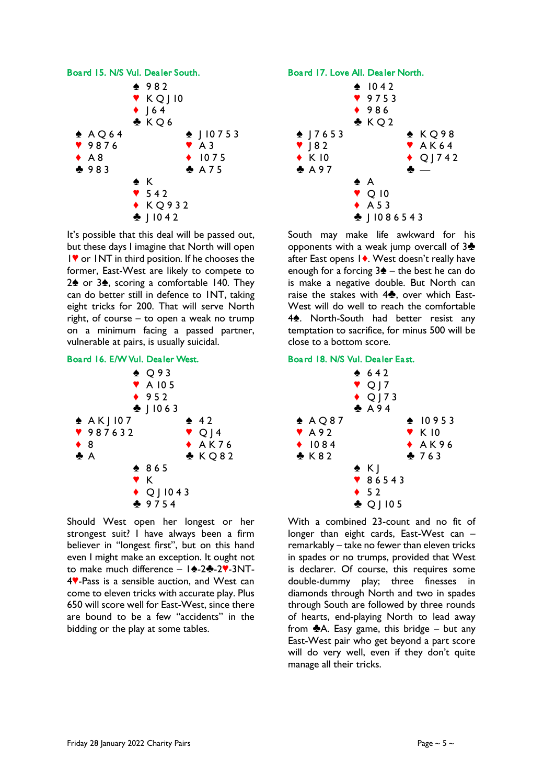

It's possible that this deal will be passed out, but these days I imagine that North will open 1♥ or 1NT in third position. If he chooses the former, East-West are likely to compete to  $2\spadesuit$  or  $3\spadesuit$ , scoring a comfortable 140. They can do better still in defence to 1NT, taking eight tricks for 200. That will serve North right, of course – to open a weak no trump on a minimum facing a passed partner, vulnerable at pairs, is usually suicidal.

| Board 16, E/W Vul. Dealer West. |                            |                  |
|---------------------------------|----------------------------|------------------|
|                                 | $\triangle$ Q93            |                  |
|                                 | $\blacktriangledown$ A 105 |                  |
|                                 | $\bullet$ 952              |                  |
|                                 | $\cdot$   1063             |                  |
| $\triangle$ AK   107            |                            | 42               |
| ♥ 987632                        |                            | $\vee$ Q J 4     |
| $\bullet$ 8                     |                            | AAK76            |
| $\clubsuit$ $A$                 |                            | $\clubsuit$ KO82 |
|                                 | $*865$                     |                  |
| Y K                             |                            |                  |
|                                 | $\blacklozenge$ Q   1043   |                  |
|                                 | ♣ 9754                     |                  |

Should West open her longest or her strongest suit? I have always been a firm believer in "longest first", but on this hand even I might make an exception. It ought not to make much difference  $-1$   $\triangleq$ -2 $\triangleq$ -2 $\angle$ -3NT-4<sup>.</sup>Pass is a sensible auction, and West can come to eleven tricks with accurate play. Plus 650 will score well for East-West, since there are bound to be a few "accidents" in the bidding or the play at some tables.

## Board 17. Love All. Dealer North.



South may make life awkward for his opponents with a weak jump overcall of  $3\clubsuit$ after East opens 14. West doesn't really have enough for a forcing  $3\triangle -$  the best he can do is make a negative double. But North can raise the stakes with  $4\clubsuit$ , over which East-West will do well to reach the comfortable 4<sup>2</sup>. North-South had better resist any temptation to sacrifice, for minus 500 will be close to a bottom score.

#### Board 18. N/S Vul. Dealer East.

|                          | 642<br>$\vee$ Q   7<br>$\triangle$ Q   73<br>$A$ A 94 |                           |  |
|--------------------------|-------------------------------------------------------|---------------------------|--|
| $\triangle$ AQ87         |                                                       | $\bullet$ 10953           |  |
| $\blacktriangledown$ A92 |                                                       | $\blacktriangledown$ K 10 |  |
| $\bullet$ 1084           |                                                       | $\triangle$ AK96          |  |
| X 82                     |                                                       | 263                       |  |
|                          | $\bullet$ K]                                          |                           |  |
|                          | $\sqrt{86543}$                                        |                           |  |
|                          | $\div$ 52                                             |                           |  |
|                          | $\clubsuit$ Q   105                                   |                           |  |

With a combined 23-count and no fit of longer than eight cards, East-West can – remarkably – take no fewer than eleven tricks in spades or no trumps, provided that West is declarer. Of course, this requires some double-dummy play; three finesses in diamonds through North and two in spades through South are followed by three rounds of hearts, end-playing North to lead away from  $\triangle A$ . Easy game, this bridge – but any East-West pair who get beyond a part score will do very well, even if they don't quite manage all their tricks.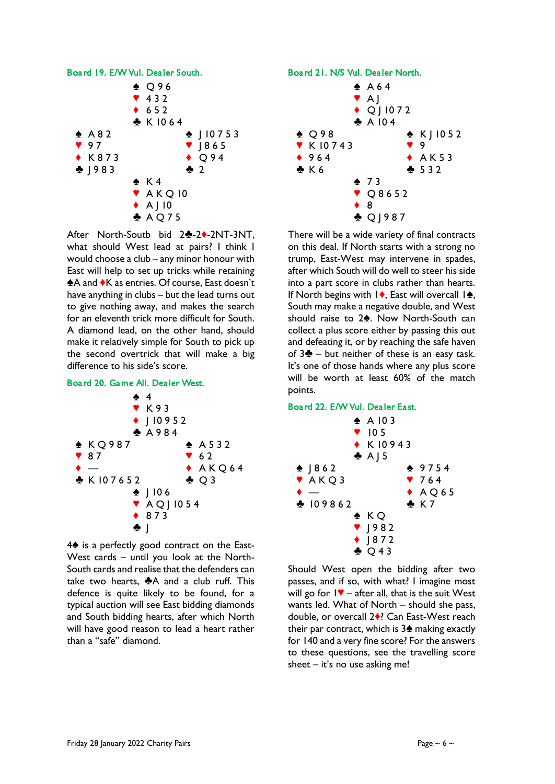

After North-Soutb bid 24-24-2NT-3NT, what should West lead at pairs? I think I would choose a club – any minor honour with East will help to set up tricks while retaining A and  $\overline{\bullet}$ K as entries. Of course, East doesn't have anything in clubs – but the lead turns out to give nothing away, and makes the search for an eleventh trick more difficult for South. A diamond lead, on the other hand, should make it relatively simple for South to pick up the second overtrick that will make a big difference to his side's score.

# Board 20. Game All. Dealer West.



 $4\spadesuit$  is a perfectly good contract on the East-West cards – until you look at the North-South cards and realise that the defenders can take two hearts,  $\clubsuit$ A and a club ruff. This defence is quite likely to be found, for a typical auction will see East bidding diamonds and South bidding hearts, after which North will have good reason to lead a heart rather than a "safe" diamond.



There will be a wide variety of final contracts on this deal. If North starts with a strong no trump, East-West may intervene in spades, after which South will do well to steer his side into a part score in clubs rather than hearts. If North begins with  $\vert \bullet \rangle$ , East will overcall  $\vert \bullet \rangle$ , South may make a negative double, and West should raise to 2<sup>.</sup> Now North-South can collect a plus score either by passing this out and defeating it, or by reaching the safe haven of  $3\clubsuit$  – but neither of these is an easy task. It's one of those hands where any plus score will be worth at least 60% of the match points.

## Board 22. E/W Vul. Dealer East.



Should West open the bidding after two passes, and if so, with what? I imagine most will go for  $1\blacktriangledown$  – after all, that is the suit West wants led. What of North – should she pass, double, or overcall 2<sup>0</sup>? Can East-West reach their par contract, which is  $3\spadesuit$  making exactly for 140 and a very fine score? For the answers to these questions, see the travelling score sheet  $-$  it's no use asking me!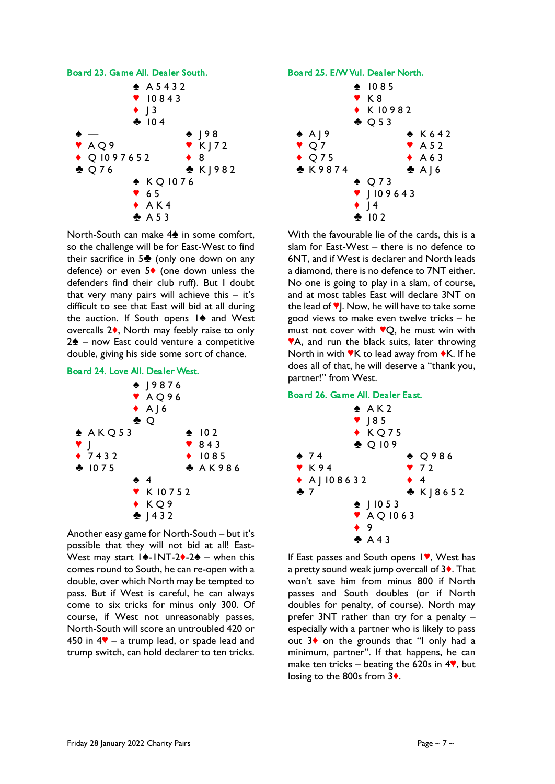

North-South can make 4<sup>th</sup> in some comfort, so the challenge will be for East-West to find their sacrifice in  $5\clubsuit$  (only one down on any defence) or even  $5\blacklozenge$  (one down unless the defenders find their club ruff). But I doubt that very many pairs will achieve this  $-$  it's difficult to see that East will bid at all during the auction. If South opens  $1\spadesuit$  and West overcalls  $2\spadesuit$ , North may feebly raise to only  $2\spadesuit$  – now East could venture a competitive double, giving his side some sort of chance.

Board 24. Love All. Dealer West.



Another easy game for North-South – but it's possible that they will not bid at all! East-West may start  $1\cdot-1NT-2\cdot-2\cdot-2$  when this comes round to South, he can re-open with a double, over which North may be tempted to pass. But if West is careful, he can always come to six tricks for minus only 300. Of course, if West not unreasonably passes, North-South will score an untroubled 420 or 450 in  $4\mathbf{V}$  – a trump lead, or spade lead and trump switch, can hold declarer to ten tricks.





With the favourable lie of the cards, this is a slam for East-West – there is no defence to 6NT, and if West is declarer and North leads a diamond, there is no defence to 7NT either. No one is going to play in a slam, of course, and at most tables East will declare 3NT on the lead of  $\P$ . Now, he will have to take some good views to make even twelve tricks – he must not cover with  $\mathbf{VQ}$ , he must win with **VA**, and run the black suits, later throwing North in with  $\mathbf{V}$ K to lead away from  $\mathbf{\bullet}$ K. If he does all of that, he will deserve a "thank you, partner!" from West.

#### Board 26. Game All. Dealer East.



If East passes and South opens  $1$ , West has a pretty sound weak jump overcall of  $3\dots$ . That won't save him from minus 800 if North passes and South doubles (or if North doubles for penalty, of course). North may prefer 3NT rather than try for a penalty – especially with a partner who is likely to pass out  $3\bullet$  on the grounds that "I only had a minimum, partner". If that happens, he can make ten tricks – beating the 620s in  $4\%$ , but losing to the 800s from 3<sup>\*</sup>.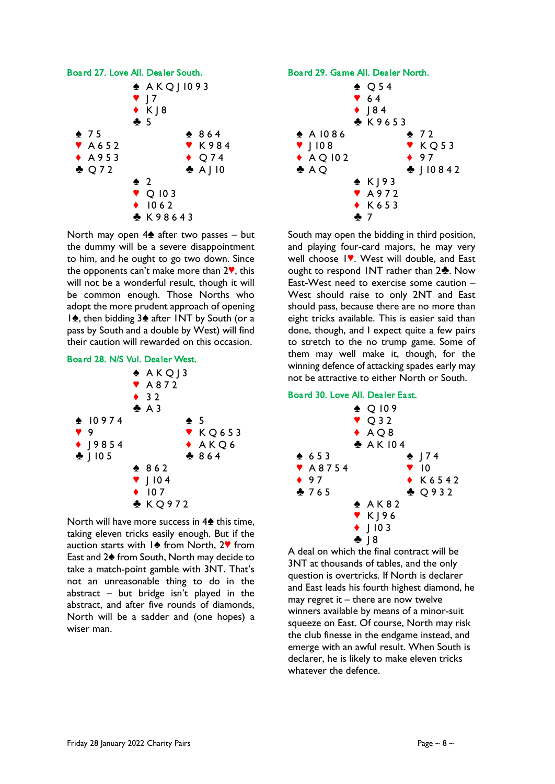

North may open  $4\spadesuit$  after two passes – but the dummy will be a severe disappointment to him, and he ought to go two down. Since the opponents can't make more than  $2\mathbf{V}$ , this will not be a wonderful result, though it will be common enough. Those Norths who adopt the more prudent approach of opening  $1\spadesuit$ , then bidding  $3\spadesuit$  after INT by South (or a pass by South and a double by West) will find their caution will rewarded on this occasion.





North will have more success in  $4\spadesuit$  this time, taking eleven tricks easily enough. But if the auction starts with  $1\spadesuit$  from North, 2 $\spadesuit$  from East and 2<sup> $\triangle$ </sup> from South, North may decide to take a match-point gamble with 3NT. That's not an unreasonable thing to do in the abstract – but bridge isn't played in the abstract, and after five rounds of diamonds, North will be a sadder and (one hopes) a wiser man.





South may open the bidding in third position, and playing four-card majors, he may very well choose IV. West will double, and East ought to respond INT rather than  $2\clubsuit$ . Now East-West need to exercise some caution – West should raise to only 2NT and East should pass, because there are no more than eight tricks available. This is easier said than done, though, and I expect quite a few pairs to stretch to the no trump game. Some of them may well make it, though, for the winning defence of attacking spades early may not be attractive to either North or South.

## Board 30. Love All. Dealer East.



A deal on which the final contract will be 3NT at thousands of tables, and the only question is overtricks. If North is declarer and East leads his fourth highest diamond, he may regret it  $-$  there are now twelve winners available by means of a minor-suit squeeze on East. Of course, North may risk the club finesse in the endgame instead, and emerge with an awful result. When South is declarer, he is likely to make eleven tricks whatever the defence.